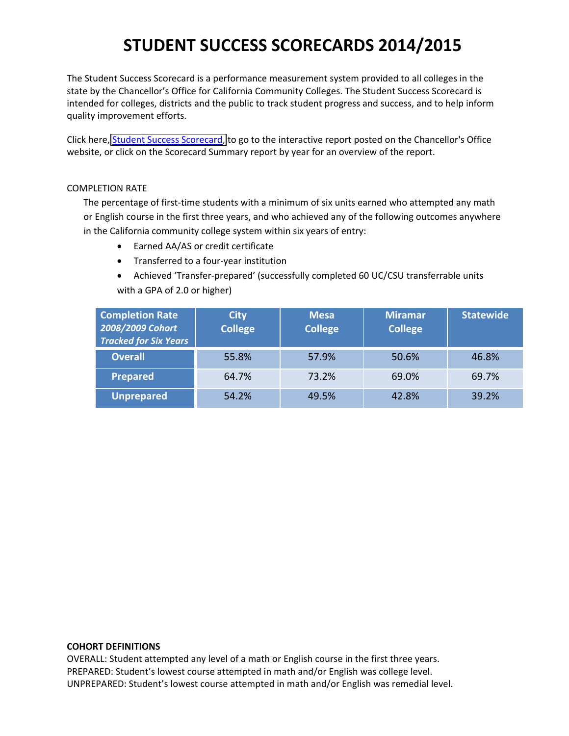The Student Success Scorecard is a performance measurement system provided to all colleges in the state by the Chancellor's Office for California Community Colleges. The Student Success Scorecard is intended for colleges, districts and the public to track student progress and success, and to help inform quality improvement efforts.

Click here, Student Success [Scorecard,](http://scorecard.cccco.edu/scorecard.aspx) to go to the interactive report posted on the Chancellor's Office website, or click on the Scorecard Summary report by year for an overview of the report.

## COMPLETION RATE

The percentage of first-time students with a minimum of six units earned who attempted any math or English course in the first three years, and who achieved any of the following outcomes anywhere in the California community college system within six years of entry:

- Earned AA/AS or credit certificate
- Transferred to a four‐year institution
- Achieved 'Transfer‐prepared' (successfully completed 60 UC/CSU transferrable units with a GPA of 2.0 or higher)

| <b>Completion Rate</b><br>2008/2009 Cohort<br><b>Tracked for Six Years</b> | <b>City</b><br><b>College</b> | <b>Mesa</b><br><b>College</b> | <b>Miramar</b><br><b>College</b> | <b>Statewide</b> |
|----------------------------------------------------------------------------|-------------------------------|-------------------------------|----------------------------------|------------------|
| <b>Overall</b>                                                             | 55.8%                         | 57.9%                         | 50.6%                            | 46.8%            |
| <b>Prepared</b>                                                            | 64.7%                         | 73.2%                         | 69.0%                            | 69.7%            |
| <b>Unprepared</b>                                                          | 54.2%                         | 49.5%                         | 42.8%                            | 39.2%            |

### **COHORT DEFINITIONS**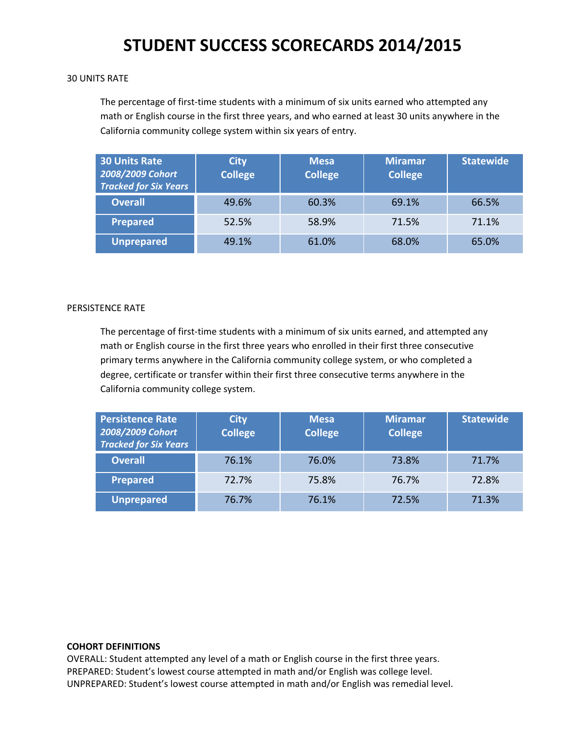### 30 UNITS RATE

The percentage of first-time students with a minimum of six units earned who attempted any math or English course in the first three years, and who earned at least 30 units anywhere in the California community college system within six years of entry.

| <b>30 Units Rate</b><br>2008/2009 Cohort<br><b>Tracked for Six Years</b> | City.<br><b>College</b> | <b>Mesa</b><br><b>College</b> | <b>Miramar</b><br><b>College</b> | <b>Statewide</b> |
|--------------------------------------------------------------------------|-------------------------|-------------------------------|----------------------------------|------------------|
| <b>Overall</b>                                                           | 49.6%                   | 60.3%                         | 69.1%                            | 66.5%            |
| <b>Prepared</b>                                                          | 52.5%                   | 58.9%                         | 71.5%                            | 71.1%            |
| <b>Unprepared</b>                                                        | 49.1%                   | 61.0%                         | 68.0%                            | 65.0%            |

### PERSISTENCE RATE

The percentage of first-time students with a minimum of six units earned, and attempted any math or English course in the first three years who enrolled in their first three consecutive primary terms anywhere in the California community college system, or who completed a degree, certificate or transfer within their first three consecutive terms anywhere in the California community college system.

| <b>Persistence Rate</b><br>2008/2009 Cohort<br><b>Tracked for Six Years</b> | <b>City</b><br><b>College</b> | <b>Mesa</b><br><b>College</b> | <b>Miramar</b><br><b>College</b> | <b>Statewide</b> |
|-----------------------------------------------------------------------------|-------------------------------|-------------------------------|----------------------------------|------------------|
| <b>Overall</b>                                                              | 76.1%                         | 76.0%                         | 73.8%                            | 71.7%            |
| <b>Prepared</b>                                                             | 72.7%                         | 75.8%                         | 76.7%                            | 72.8%            |
| <b>Unprepared</b>                                                           | 76.7%                         | 76.1%                         | 72.5%                            | 71.3%            |

### **COHORT DEFINITIONS**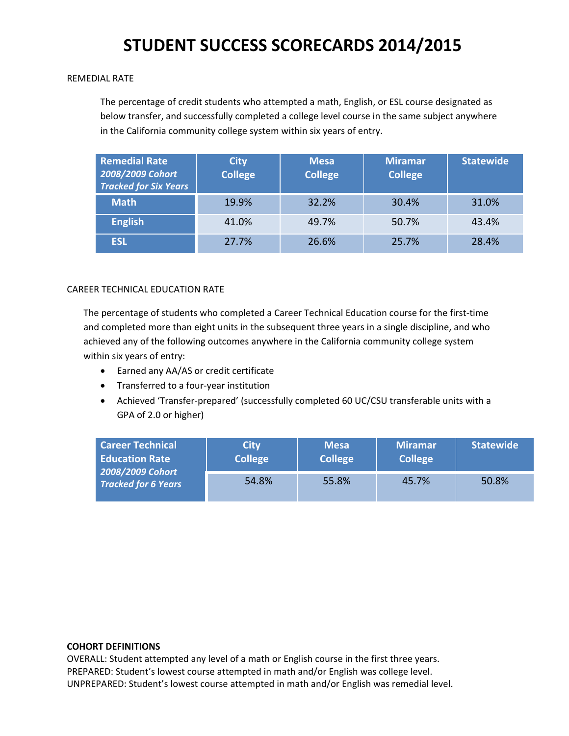### REMEDIAL RATE

The percentage of credit students who attempted a math, English, or ESL course designated as below transfer, and successfully completed a college level course in the same subject anywhere in the California community college system within six years of entry.

| <b>Remedial Rate</b><br>2008/2009 Cohort<br><b>Tracked for Six Years</b> | <b>City</b><br><b>College</b> | <b>Mesa</b><br><b>College</b> | <b>Miramar</b><br><b>College</b> | <b>Statewide</b> |
|--------------------------------------------------------------------------|-------------------------------|-------------------------------|----------------------------------|------------------|
| <b>Math</b>                                                              | 19.9%                         | 32.2%                         | 30.4%                            | 31.0%            |
| <b>English</b>                                                           | 41.0%                         | 49.7%                         | 50.7%                            | 43.4%            |
| <b>ESL</b>                                                               | 27.7%                         | 26.6%                         | 25.7%                            | 28.4%            |

## CAREER TECHNICAL EDUCATION RATE

The percentage of students who completed a Career Technical Education course for the first‐time and completed more than eight units in the subsequent three years in a single discipline, and who achieved any of the following outcomes anywhere in the California community college system within six years of entry:

- Earned any AA/AS or credit certificate
- Transferred to a four‐year institution
- Achieved 'Transfer‐prepared' (successfully completed 60 UC/CSU transferable units with a GPA of 2.0 or higher)

| <b>Career Technical</b><br><b>Education Rate</b><br>2008/2009 Cohort<br><b>Tracked for 6 Years</b> | <b>City</b><br>College <sup>1</sup> | <b>Mesa</b><br><b>College</b> | <b>Miramar</b><br><b>College</b> | <b>Statewide</b> |
|----------------------------------------------------------------------------------------------------|-------------------------------------|-------------------------------|----------------------------------|------------------|
|                                                                                                    | 54.8%                               | 55.8%                         | 45.7%                            | 50.8%            |

### **COHORT DEFINITIONS**